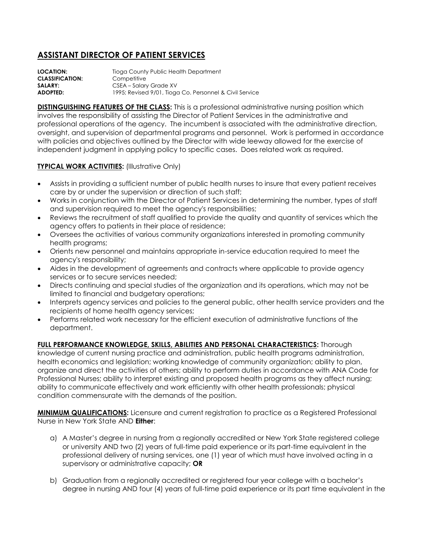## **ASSISTANT DIRECTOR OF PATIENT SERVICES**

**LOCATION:** Tioga County Public Health Department **CLASSIFICATION:** Competitive **SALARY:** CSEA – Salary Grade XV **ADOPTED:** 1995; Revised 9/01, Tioga Co. Personnel & Civil Service

**DISTINGUISHING FEATURES OF THE CLASS:** This is a professional administrative nursing position which involves the responsibility of assisting the Director of Patient Services in the administrative and professional operations of the agency. The incumbent is associated with the administrative direction, oversight, and supervision of departmental programs and personnel. Work is performed in accordance with policies and objectives outlined by the Director with wide leeway allowed for the exercise of independent judgment in applying policy to specific cases. Does related work as required.

## **TYPICAL WORK ACTIVITIES: (Illustrative Only)**

- Assists in providing a sufficient number of public health nurses to insure that every patient receives care by or under the supervision or direction of such staff;
- Works in conjunction with the Director of Patient Services in determining the number, types of staff and supervision required to meet the agency's responsibilities;
- Reviews the recruitment of staff qualified to provide the quality and quantity of services which the agency offers to patients in their place of residence;
- Oversees the activities of various community organizations interested in promoting community health programs;
- Orients new personnel and maintains appropriate in-service education required to meet the agency's responsibility;
- Aides in the development of agreements and contracts where applicable to provide agency services or to secure services needed;
- Directs continuing and special studies of the organization and its operations, which may not be limited to financial and budgetary operations;
- Interprets agency services and policies to the general public, other health service providers and the recipients of home health agency services;
- Performs related work necessary for the efficient execution of administrative functions of the department.

## **FULL PERFORMANCE KNOWLEDGE, SKILLS, ABILITIES AND PERSONAL CHARACTERISTICS:** Thorough

knowledge of current nursing practice and administration, public health programs administration, health economics and legislation; working knowledge of community organization; ability to plan, organize and direct the activities of others; ability to perform duties in accordance with ANA Code for Professional Nurses; ability to interpret existing and proposed health programs as they affect nursing; ability to communicate effectively and work efficiently with other health professionals; physical condition commensurate with the demands of the position.

**MINIMUM QUALIFICATIONS:** Licensure and current registration to practice as a Registered Professional Nurse in New York State AND **Either**:

- a) A Master's degree in nursing from a regionally accredited or New York State registered college or university AND two (2) years of full-time paid experience or its part-time equivalent in the professional delivery of nursing services, one (1) year of which must have involved acting in a supervisory or administrative capacity; **OR**
- b) Graduation from a regionally accredited or registered four year college with a bachelor's degree in nursing AND four (4) years of full-time paid experience or its part time equivalent in the